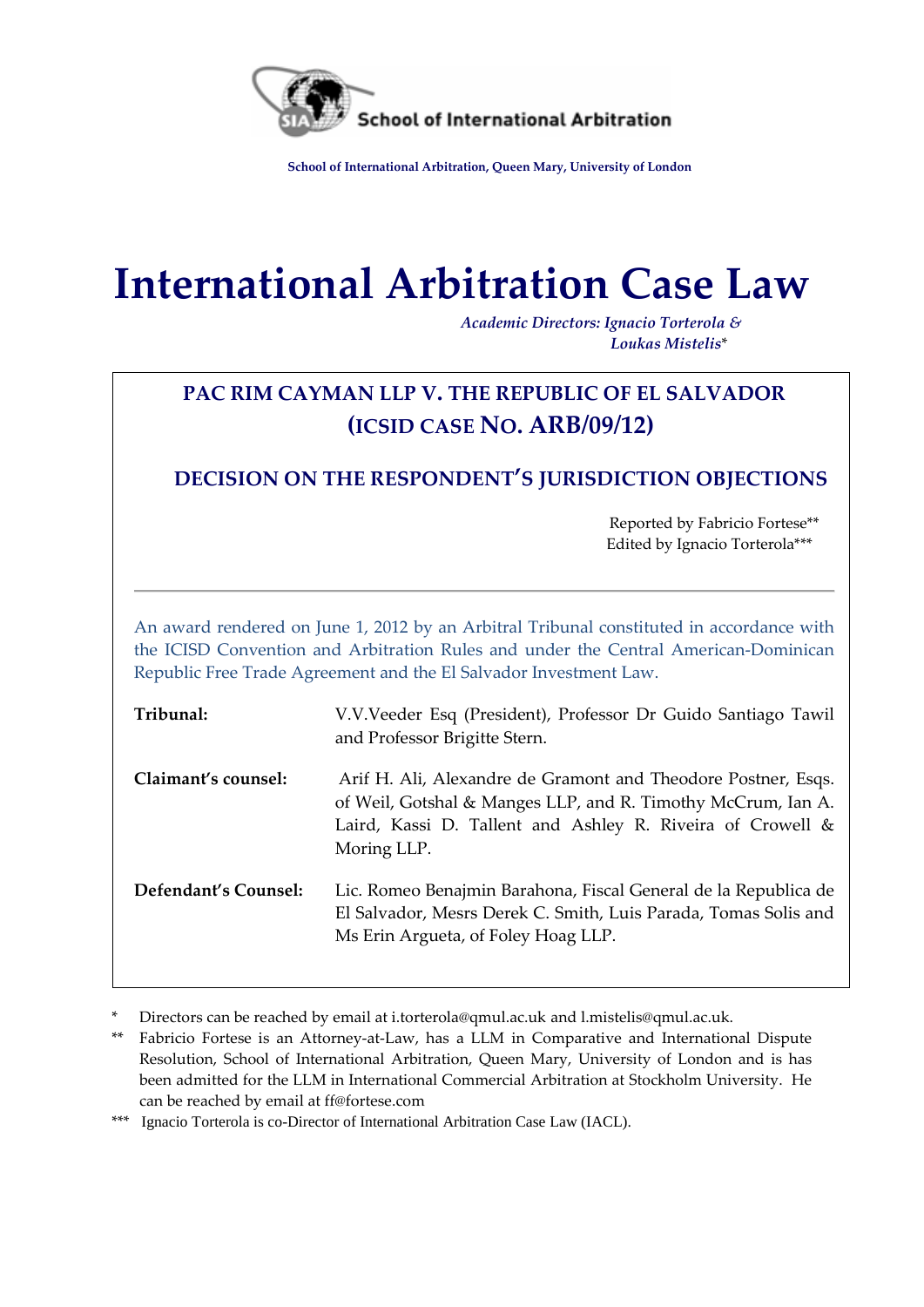

**School of International Arbitration, Queen Mary, University of London**

# **International Arbitration Case Law**

*Academic Directors: Ignacio Torterola & Loukas Mistelis*\*

# **PAC RIM CAYMAN LLP V. THE REPUBLIC OF EL SALVADOR (ICSID CASE NO. ARB/09/12)**

## **DECISION ON THE RESPONDENT'S JURISDICTION OBJECTIONS**

 Reported by Fabricio Fortese\*\* Edited by Ignacio Torterola\*\*\*

An award rendered on June 1, 2012 by an Arbitral Tribunal constituted in accordance with the ICISD Convention and Arbitration Rules and under the Central American-Dominican Republic Free Trade Agreement and the El Salvador Investment Law.

| Tribunal:            | V.V.Veeder Esq (President), Professor Dr Guido Santiago Tawil<br>and Professor Brigitte Stern.                                                                                                             |
|----------------------|------------------------------------------------------------------------------------------------------------------------------------------------------------------------------------------------------------|
| Claimant's counsel:  | Arif H. Ali, Alexandre de Gramont and Theodore Postner, Esqs.<br>of Weil, Gotshal & Manges LLP, and R. Timothy McCrum, Ian A.<br>Laird, Kassi D. Tallent and Ashley R. Riveira of Crowell &<br>Moring LLP. |
| Defendant's Counsel: | Lic. Romeo Benajmin Barahona, Fiscal General de la Republica de<br>El Salvador, Mesrs Derek C. Smith, Luis Parada, Tomas Solis and<br>Ms Erin Argueta, of Foley Hoag LLP.                                  |

Directors can be reached by email at [i.torterola@qmul.ac.uk](mailto:i.torterola@qmul.ac.uk) and [l.mistelis@qmul.ac.uk.](mailto:l.mistelis@qmul.ac.uk)

\*\*\* Ignacio Torterola is co-Director of International Arbitration Case Law (IACL).

Fabricio Fortese is an Attorney-at-Law, has a LLM in Comparative and International Dispute Resolution, School of International Arbitration, Queen Mary, University of London and is has been admitted for the LLM in International Commercial Arbitration at Stockholm University. He can be reached by email at ff@fortese.com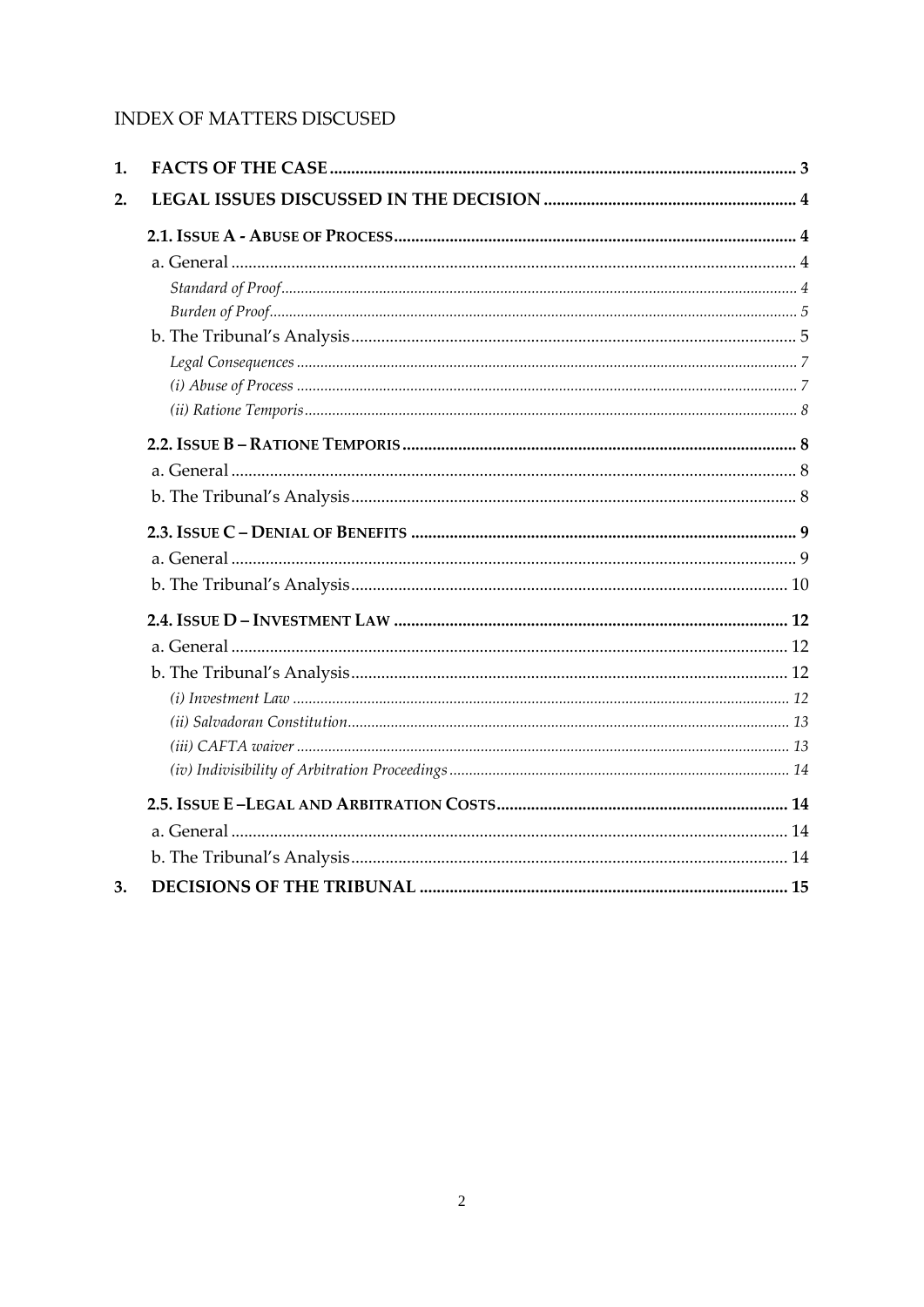## INDEX OF MATTERS DISCUSED

| 1. |  |
|----|--|
| 2. |  |
|    |  |
|    |  |
|    |  |
|    |  |
|    |  |
|    |  |
|    |  |
|    |  |
|    |  |
|    |  |
|    |  |
|    |  |
|    |  |
|    |  |
|    |  |
|    |  |
|    |  |
|    |  |
|    |  |
|    |  |
|    |  |
|    |  |
|    |  |
|    |  |
| 3. |  |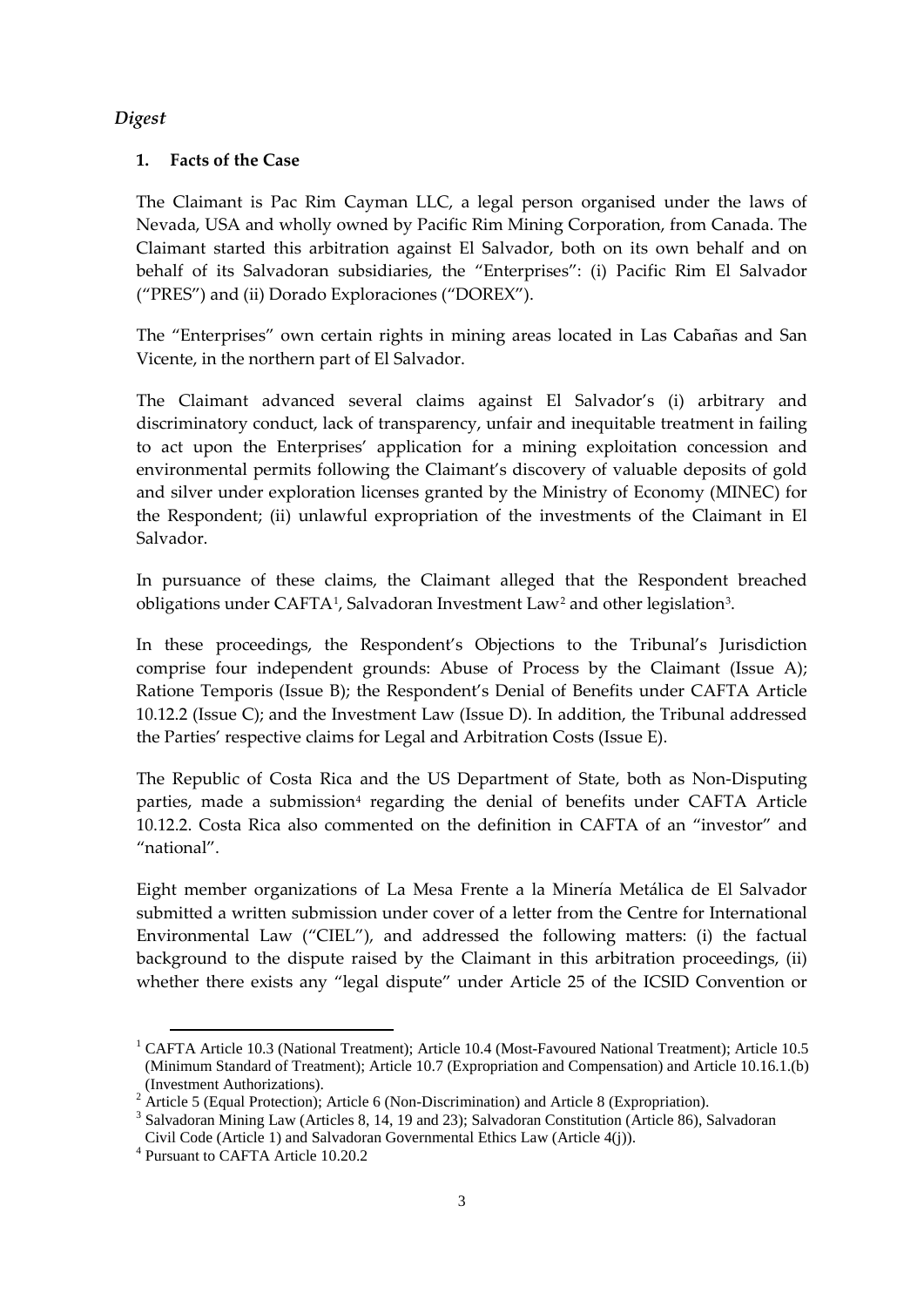## *Digest*

## **1. Facts of the Case**

The Claimant is Pac Rim Cayman LLC, a legal person organised under the laws of Nevada, USA and wholly owned by Pacific Rim Mining Corporation, from Canada. The Claimant started this arbitration against El Salvador, both on its own behalf and on behalf of its Salvadoran subsidiaries, the "Enterprises": (i) Pacific Rim El Salvador ("PRES") and (ii) Dorado Exploraciones ("DOREX").

The "Enterprises" own certain rights in mining areas located in Las Cabañas and San Vicente, in the northern part of El Salvador.

The Claimant advanced several claims against El Salvador's (i) arbitrary and discriminatory conduct, lack of transparency, unfair and inequitable treatment in failing to act upon the Enterprises' application for a mining exploitation concession and environmental permits following the Claimant's discovery of valuable deposits of gold and silver under exploration licenses granted by the Ministry of Economy (MINEC) for the Respondent; (ii) unlawful expropriation of the investments of the Claimant in El Salvador.

In pursuance of these claims, the Claimant alleged that the Respondent breached obligations under CAFTA[1](#page-2-0), Salvadoran Investment Law[2](#page-2-1) and other legislation[3](#page-2-2).

In these proceedings, the Respondent's Objections to the Tribunal's Jurisdiction comprise four independent grounds: Abuse of Process by the Claimant (Issue A); Ratione Temporis (Issue B); the Respondent's Denial of Benefits under CAFTA Article 10.12.2 (Issue C); and the Investment Law (Issue D). In addition, the Tribunal addressed the Parties' respective claims for Legal and Arbitration Costs (Issue E).

The Republic of Costa Rica and the US Department of State, both as Non-Disputing parties, made a submission<sup>4</sup> regarding the denial of benefits under CAFTA Article 10.12.2. Costa Rica also commented on the definition in CAFTA of an "investor" and "national".

Eight member organizations of La Mesa Frente a la Minería Metálica de El Salvador submitted a written submission under cover of a letter from the Centre for International Environmental Law ("CIEL"), and addressed the following matters: (i) the factual background to the dispute raised by the Claimant in this arbitration proceedings, (ii) whether there exists any "legal dispute" under Article 25 of the ICSID Convention or

<span id="page-2-0"></span> $\overline{a}$ <sup>1</sup> CAFTA Article 10.3 (National Treatment); Article 10.4 (Most-Favoured National Treatment); Article 10.5 (Minimum Standard of Treatment); Article 10.7 (Expropriation and Compensation) and Article 10.16.1.(b) (Investment Authorizations). <sup>2</sup> Article 5 (Equal Protection); Article 6 (Non-Discrimination) and Article 8 (Expropriation). <sup>3</sup> Salvadoran Mining Law (Articles 8, 14, 19 and 23); Salvadoran Constitution (Article 86), Salvadoran

<span id="page-2-2"></span><span id="page-2-1"></span>Civil Code (Article 1) and Salvadoran Governmental Ethics Law (Article 4(j)).  $^4$  Pursuant to CAFTA Article 10.20.2

<span id="page-2-3"></span>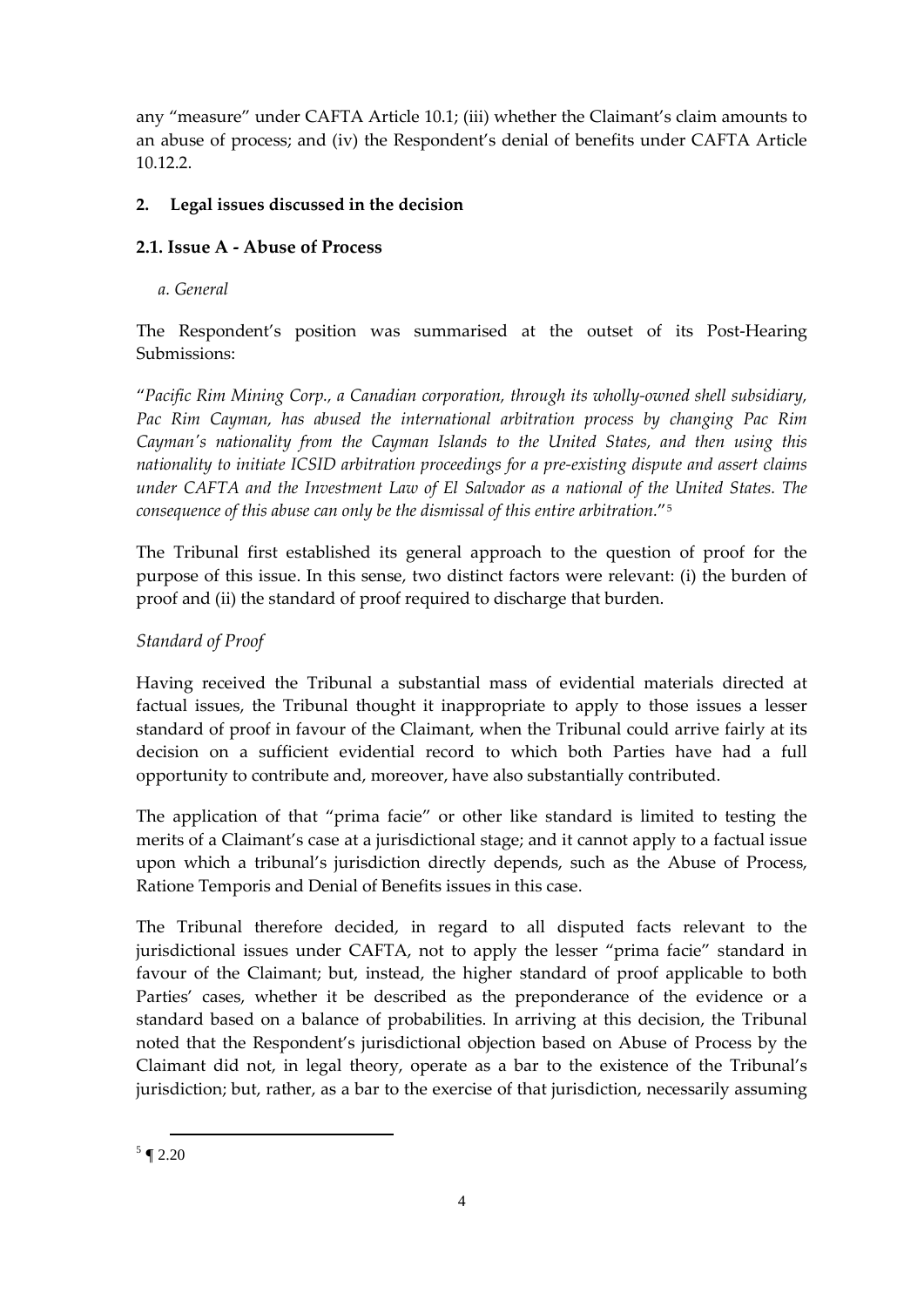any "measure" under CAFTA Article 10.1; (iii) whether the Claimant's claim amounts to an abuse of process; and (iv) the Respondent's denial of benefits under CAFTA Article 10.12.2.

## **2. Legal issues discussed in the decision**

## **2.1. Issue A - Abuse of Process**

*a. General*

The Respondent's position was summarised at the outset of its Post-Hearing Submissions:

"*Pacific Rim Mining Corp., a Canadian corporation, through its wholly-owned shell subsidiary, Pac Rim Cayman, has abused the international arbitration process by changing Pac Rim Cayman's nationality from the Cayman Islands to the United States, and then using this nationality to initiate ICSID arbitration proceedings for a pre-existing dispute and assert claims under CAFTA and the Investment Law of El Salvador as a national of the United States. The consequence of this abuse can only be the dismissal of this entire arbitration.*"[5](#page-3-0)

The Tribunal first established its general approach to the question of proof for the purpose of this issue. In this sense, two distinct factors were relevant: (i) the burden of proof and (ii) the standard of proof required to discharge that burden.

## *Standard of Proof*

Having received the Tribunal a substantial mass of evidential materials directed at factual issues, the Tribunal thought it inappropriate to apply to those issues a lesser standard of proof in favour of the Claimant, when the Tribunal could arrive fairly at its decision on a sufficient evidential record to which both Parties have had a full opportunity to contribute and, moreover, have also substantially contributed.

The application of that "prima facie" or other like standard is limited to testing the merits of a Claimant's case at a jurisdictional stage; and it cannot apply to a factual issue upon which a tribunal's jurisdiction directly depends, such as the Abuse of Process, Ratione Temporis and Denial of Benefits issues in this case.

<span id="page-3-0"></span>The Tribunal therefore decided, in regard to all disputed facts relevant to the jurisdictional issues under CAFTA, not to apply the lesser "prima facie" standard in favour of the Claimant; but, instead, the higher standard of proof applicable to both Parties' cases, whether it be described as the preponderance of the evidence or a standard based on a balance of probabilities. In arriving at this decision, the Tribunal noted that the Respondent's jurisdictional objection based on Abuse of Process by the Claimant did not, in legal theory, operate as a bar to the existence of the Tribunal's jurisdiction; but, rather, as a bar to the exercise of that jurisdiction, necessarily assuming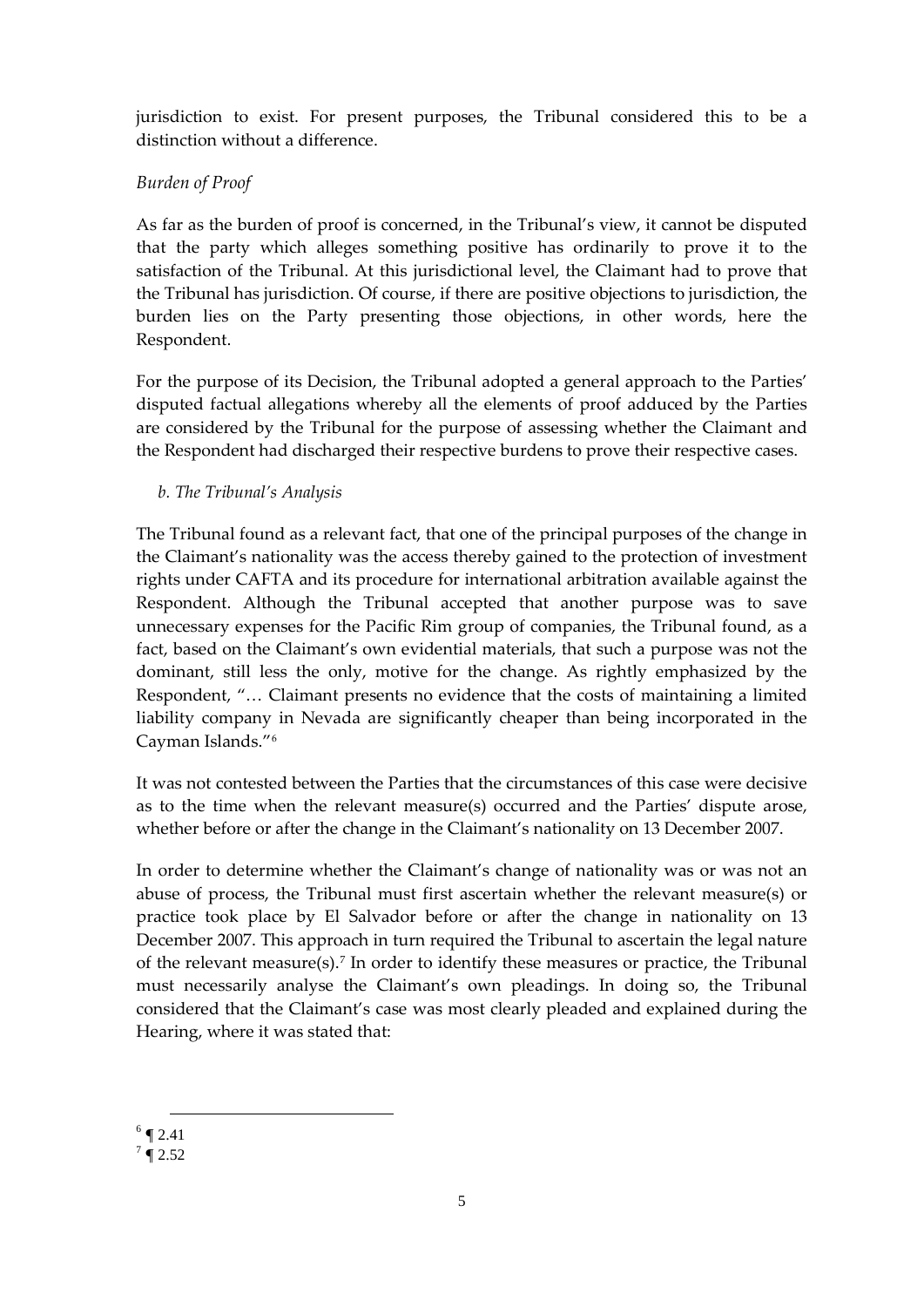jurisdiction to exist. For present purposes, the Tribunal considered this to be a distinction without a difference.

## *Burden of Proof*

As far as the burden of proof is concerned, in the Tribunal's view, it cannot be disputed that the party which alleges something positive has ordinarily to prove it to the satisfaction of the Tribunal. At this jurisdictional level, the Claimant had to prove that the Tribunal has jurisdiction. Of course, if there are positive objections to jurisdiction, the burden lies on the Party presenting those objections, in other words, here the Respondent.

For the purpose of its Decision, the Tribunal adopted a general approach to the Parties' disputed factual allegations whereby all the elements of proof adduced by the Parties are considered by the Tribunal for the purpose of assessing whether the Claimant and the Respondent had discharged their respective burdens to prove their respective cases.

## *b. The Tribunal's Analysis*

The Tribunal found as a relevant fact, that one of the principal purposes of the change in the Claimant's nationality was the access thereby gained to the protection of investment rights under CAFTA and its procedure for international arbitration available against the Respondent. Although the Tribunal accepted that another purpose was to save unnecessary expenses for the Pacific Rim group of companies, the Tribunal found, as a fact, based on the Claimant's own evidential materials, that such a purpose was not the dominant, still less the only, motive for the change. As rightly emphasized by the Respondent, "… Claimant presents no evidence that the costs of maintaining a limited liability company in Nevada are significantly cheaper than being incorporated in the Cayman Islands."[6](#page-4-0)

It was not contested between the Parties that the circumstances of this case were decisive as to the time when the relevant measure(s) occurred and the Parties' dispute arose, whether before or after the change in the Claimant's nationality on 13 December 2007.

In order to determine whether the Claimant's change of nationality was or was not an abuse of process, the Tribunal must first ascertain whether the relevant measure(s) or practice took place by El Salvador before or after the change in nationality on 13 December 2007. This approach in turn required the Tribunal to ascertain the legal nature of the relevant measure(s).[7](#page-4-1) In order to identify these measures or practice, the Tribunal must necessarily analyse the Claimant's own pleadings. In doing so, the Tribunal considered that the Claimant's case was most clearly pleaded and explained during the Hearing, where it was stated that:

 $\overline{a}$  $6 \n\P 2.41$ 

<span id="page-4-1"></span><span id="page-4-0"></span> $7 \text{ } 2.52$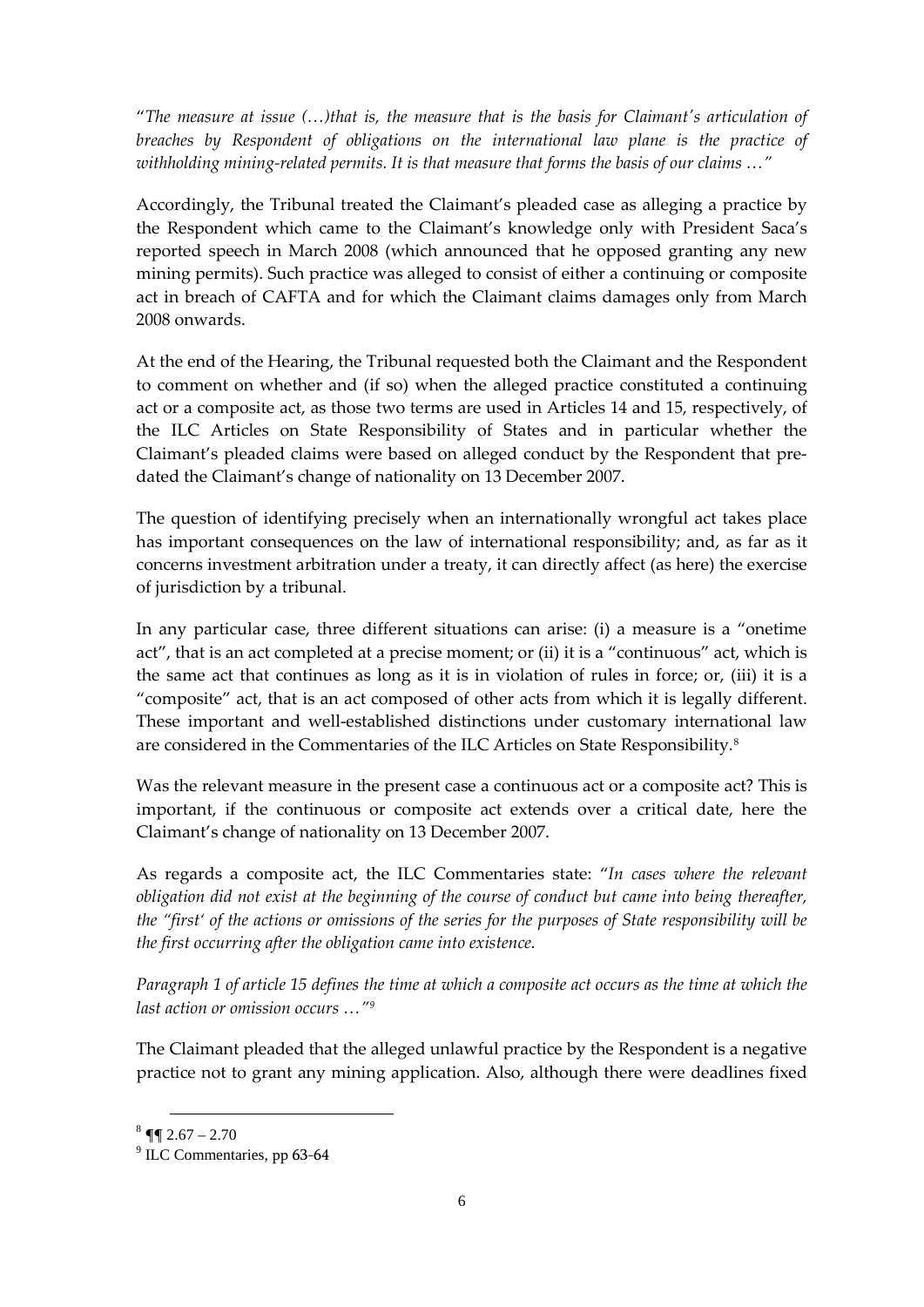"*The measure at issue (…)that is, the measure that is the basis for Claimant's articulation of breaches by Respondent of obligations on the international law plane is the practice of withholding mining-related permits. It is that measure that forms the basis of our claims …"* 

Accordingly, the Tribunal treated the Claimant's pleaded case as alleging a practice by the Respondent which came to the Claimant's knowledge only with President Saca's reported speech in March 2008 (which announced that he opposed granting any new mining permits). Such practice was alleged to consist of either a continuing or composite act in breach of CAFTA and for which the Claimant claims damages only from March 2008 onwards.

At the end of the Hearing, the Tribunal requested both the Claimant and the Respondent to comment on whether and (if so) when the alleged practice constituted a continuing act or a composite act, as those two terms are used in Articles 14 and 15, respectively, of the ILC Articles on State Responsibility of States and in particular whether the Claimant's pleaded claims were based on alleged conduct by the Respondent that predated the Claimant's change of nationality on 13 December 2007.

The question of identifying precisely when an internationally wrongful act takes place has important consequences on the law of international responsibility; and, as far as it concerns investment arbitration under a treaty, it can directly affect (as here) the exercise of jurisdiction by a tribunal.

In any particular case, three different situations can arise: (i) a measure is a "onetime act", that is an act completed at a precise moment; or (ii) it is a "continuous" act, which is the same act that continues as long as it is in violation of rules in force; or, (iii) it is a "composite" act, that is an act composed of other acts from which it is legally different. These important and well-established distinctions under customary international law are considered in the Commentaries of the ILC Articles on State Responsibility.[8](#page-5-0)

Was the relevant measure in the present case a continuous act or a composite act? This is important, if the continuous or composite act extends over a critical date, here the Claimant's change of nationality on 13 December 2007.

As regards a composite act, the ILC Commentaries state: "*In cases where the relevant obligation did not exist at the beginning of the course of conduct but came into being thereafter, the "first' of the actions or omissions of the series for the purposes of State responsibility will be the first occurring after the obligation came into existence.*

*Paragraph 1 of article 15 defines the time at which a composite act occurs as the time at which the last action or omission occurs …"[9](#page-5-1)*

The Claimant pleaded that the alleged unlawful practice by the Respondent is a negative practice not to grant any mining application. Also, although there were deadlines fixed

<span id="page-5-0"></span> $8 \sqrt{9}$  2.67 – 2.70

<span id="page-5-1"></span><sup>&</sup>lt;sup>9</sup> ILC Commentaries, pp 63-64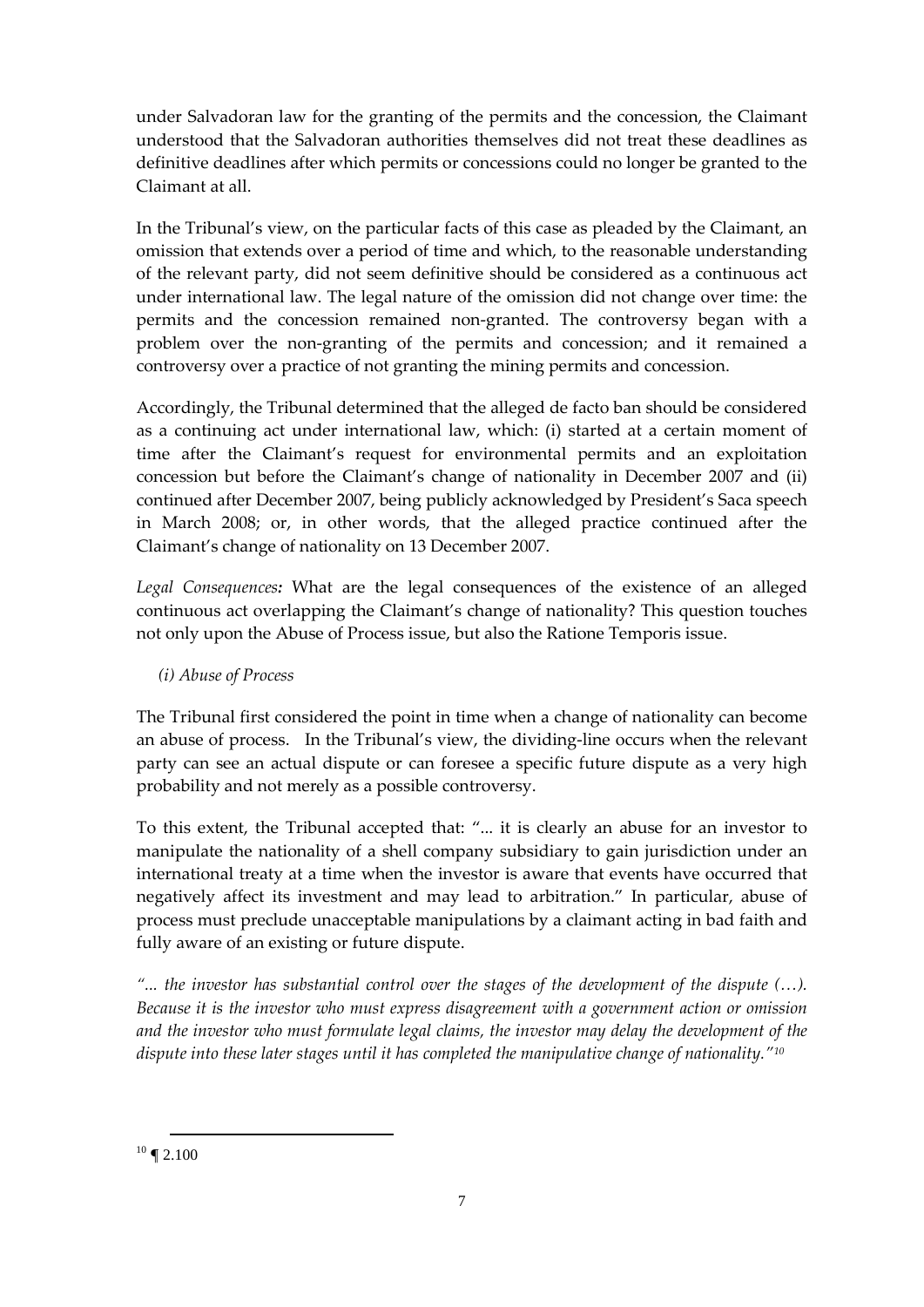under Salvadoran law for the granting of the permits and the concession, the Claimant understood that the Salvadoran authorities themselves did not treat these deadlines as definitive deadlines after which permits or concessions could no longer be granted to the Claimant at all.

In the Tribunal's view, on the particular facts of this case as pleaded by the Claimant, an omission that extends over a period of time and which, to the reasonable understanding of the relevant party, did not seem definitive should be considered as a continuous act under international law. The legal nature of the omission did not change over time: the permits and the concession remained non-granted. The controversy began with a problem over the non-granting of the permits and concession; and it remained a controversy over a practice of not granting the mining permits and concession.

Accordingly, the Tribunal determined that the alleged de facto ban should be considered as a continuing act under international law, which: (i) started at a certain moment of time after the Claimant's request for environmental permits and an exploitation concession but before the Claimant's change of nationality in December 2007 and (ii) continued after December 2007, being publicly acknowledged by President's Saca speech in March 2008; or, in other words, that the alleged practice continued after the Claimant's change of nationality on 13 December 2007.

*Legal Consequences:* What are the legal consequences of the existence of an alleged continuous act overlapping the Claimant's change of nationality? This question touches not only upon the Abuse of Process issue, but also the Ratione Temporis issue.

## *(i) Abuse of Process*

The Tribunal first considered the point in time when a change of nationality can become an abuse of process. In the Tribunal's view, the dividing-line occurs when the relevant party can see an actual dispute or can foresee a specific future dispute as a very high probability and not merely as a possible controversy.

To this extent, the Tribunal accepted that: "... it is clearly an abuse for an investor to manipulate the nationality of a shell company subsidiary to gain jurisdiction under an international treaty at a time when the investor is aware that events have occurred that negatively affect its investment and may lead to arbitration." In particular, abuse of process must preclude unacceptable manipulations by a claimant acting in bad faith and fully aware of an existing or future dispute.

*"... the investor has substantial control over the stages of the development of the dispute (…). Because it is the investor who must express disagreement with a government action or omission and the investor who must formulate legal claims, the investor may delay the development of the dispute into these later stages until it has completed the manipulative change of nationality."[10](#page-6-0)*

<span id="page-6-0"></span> $\overline{a}$  $10 \text{ } \P 2.100$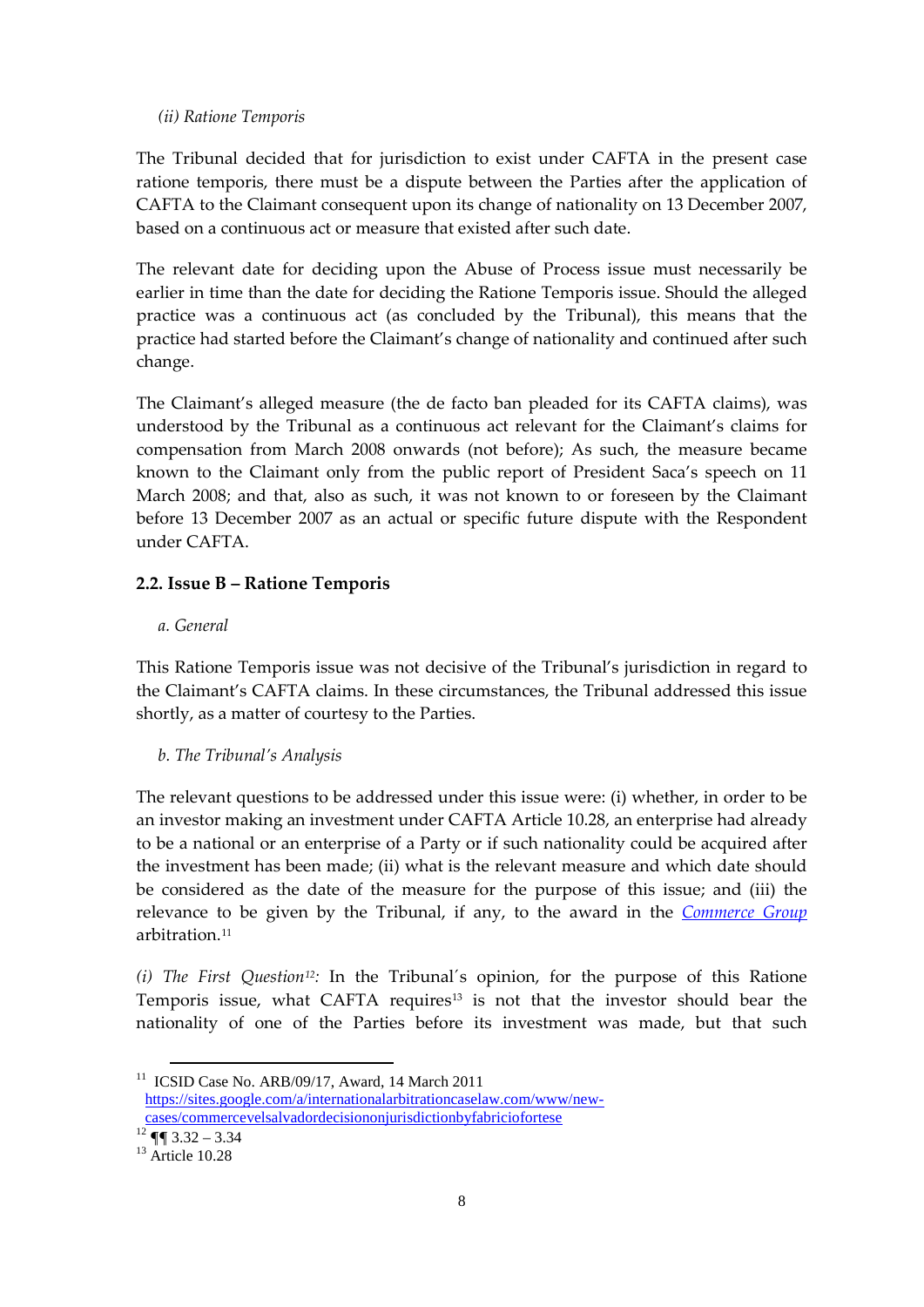#### *(ii) Ratione Temporis*

The Tribunal decided that for jurisdiction to exist under CAFTA in the present case ratione temporis, there must be a dispute between the Parties after the application of CAFTA to the Claimant consequent upon its change of nationality on 13 December 2007, based on a continuous act or measure that existed after such date.

The relevant date for deciding upon the Abuse of Process issue must necessarily be earlier in time than the date for deciding the Ratione Temporis issue. Should the alleged practice was a continuous act (as concluded by the Tribunal), this means that the practice had started before the Claimant's change of nationality and continued after such change.

The Claimant's alleged measure (the de facto ban pleaded for its CAFTA claims), was understood by the Tribunal as a continuous act relevant for the Claimant's claims for compensation from March 2008 onwards (not before); As such, the measure became known to the Claimant only from the public report of President Saca's speech on 11 March 2008; and that, also as such, it was not known to or foreseen by the Claimant before 13 December 2007 as an actual or specific future dispute with the Respondent under CAFTA.

#### **2.2. Issue B – Ratione Temporis**

#### *a. General*

This Ratione Temporis issue was not decisive of the Tribunal's jurisdiction in regard to the Claimant's CAFTA claims. In these circumstances, the Tribunal addressed this issue shortly, as a matter of courtesy to the Parties.

#### *b. The Tribunal's Analysis*

The relevant questions to be addressed under this issue were: (i) whether, in order to be an investor making an investment under CAFTA Article 10.28, an enterprise had already to be a national or an enterprise of a Party or if such nationality could be acquired after the investment has been made; (ii) what is the relevant measure and which date should be considered as the date of the measure for the purpose of this issue; and (iii) the relevance to be given by the Tribunal, if any, to the award in the *[Commerce Group](https://sites.google.com/a/internationalarbitrationcaselaw.com/www/new-cases/commercevelsalvadordecisiononjurisdictionbyfabriciofortese)* arbitration<sup>[11](#page-7-0)</sup>

*(i) The First Question[12](#page-7-1):* In the Tribunal´s opinion, for the purpose of this Ratione Temporis issue, what CAFTA requires<sup>13</sup> is not that the investor should bear the nationality of one of the Parties before its investment was made, but that such

<span id="page-7-0"></span><sup>&</sup>lt;sup>11</sup> ICSID Case No. ARB/09/17, Award, 14 March 2011 [https://sites.google.com/a/internationalarbitrationcaselaw.com/www/new](https://sites.google.com/a/internationalarbitrationcaselaw.com/www/new-cases/commercevelsalvadordecisiononjurisdictionbyfabriciofortese)[cases/commercevelsalvadordecisiononjurisdictionbyfabriciofortese](https://sites.google.com/a/internationalarbitrationcaselaw.com/www/new-cases/commercevelsalvadordecisiononjurisdictionbyfabriciofortese)

<span id="page-7-1"></span> $12 \text{ }\P\P$  3.32 – 3.34

<span id="page-7-2"></span> $13$  Article 10.28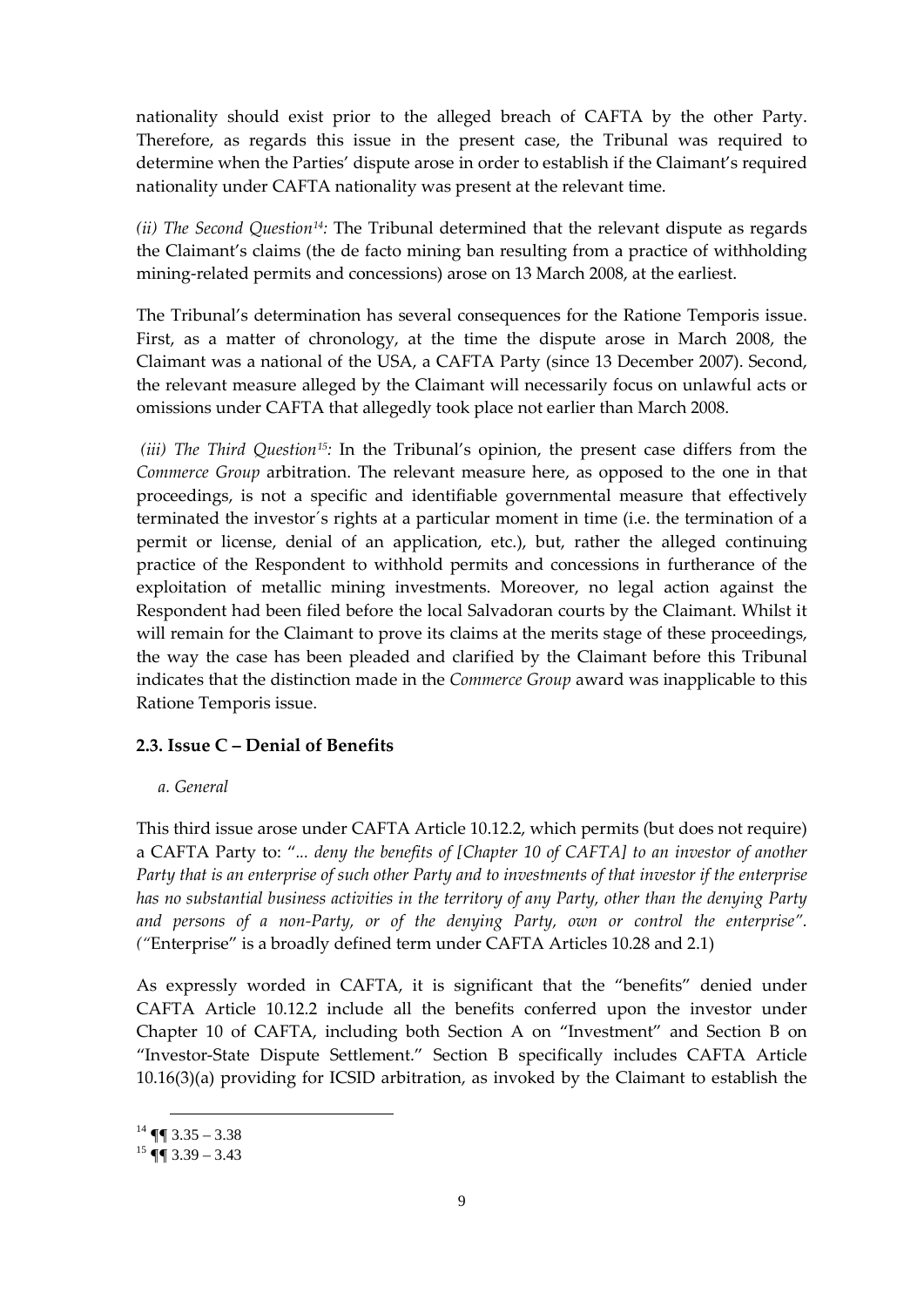nationality should exist prior to the alleged breach of CAFTA by the other Party. Therefore, as regards this issue in the present case, the Tribunal was required to determine when the Parties' dispute arose in order to establish if the Claimant's required nationality under CAFTA nationality was present at the relevant time.

*(ii) The Second Question[14](#page-8-0):* The Tribunal determined that the relevant dispute as regards the Claimant's claims (the de facto mining ban resulting from a practice of withholding mining-related permits and concessions) arose on 13 March 2008, at the earliest.

The Tribunal's determination has several consequences for the Ratione Temporis issue. First, as a matter of chronology, at the time the dispute arose in March 2008, the Claimant was a national of the USA, a CAFTA Party (since 13 December 2007). Second, the relevant measure alleged by the Claimant will necessarily focus on unlawful acts or omissions under CAFTA that allegedly took place not earlier than March 2008.

*(iii) The Third Question[15](#page-8-1):* In the Tribunal's opinion, the present case differs from the *Commerce Group* arbitration. The relevant measure here, as opposed to the one in that proceedings, is not a specific and identifiable governmental measure that effectively terminated the investor´s rights at a particular moment in time (i.e. the termination of a permit or license, denial of an application, etc.), but, rather the alleged continuing practice of the Respondent to withhold permits and concessions in furtherance of the exploitation of metallic mining investments. Moreover, no legal action against the Respondent had been filed before the local Salvadoran courts by the Claimant. Whilst it will remain for the Claimant to prove its claims at the merits stage of these proceedings, the way the case has been pleaded and clarified by the Claimant before this Tribunal indicates that the distinction made in the *Commerce Group* award was inapplicable to this Ratione Temporis issue.

#### **2.3. Issue C – Denial of Benefits**

#### *a. General*

This third issue arose under CAFTA Article 10.12.2, which permits (but does not require) a CAFTA Party to: "*... deny the benefits of [Chapter 10 of CAFTA] to an investor of another Party that is an enterprise of such other Party and to investments of that investor if the enterprise has no substantial business activities in the territory of any Party, other than the denying Party and persons of a non-Party, or of the denying Party, own or control the enterprise". ("*Enterprise" is a broadly defined term under CAFTA Articles 10.28 and 2.1)

As expressly worded in CAFTA, it is significant that the "benefits" denied under CAFTA Article 10.12.2 include all the benefits conferred upon the investor under Chapter 10 of CAFTA, including both Section A on "Investment" and Section B on "Investor-State Dispute Settlement." Section B specifically includes CAFTA Article 10.16(3)(a) providing for ICSID arbitration, as invoked by the Claimant to establish the

<span id="page-8-0"></span> $14$  ¶  $3.35 - 3.38$ 

<span id="page-8-1"></span> $15$  ¶  $(3.39 - 3.43)$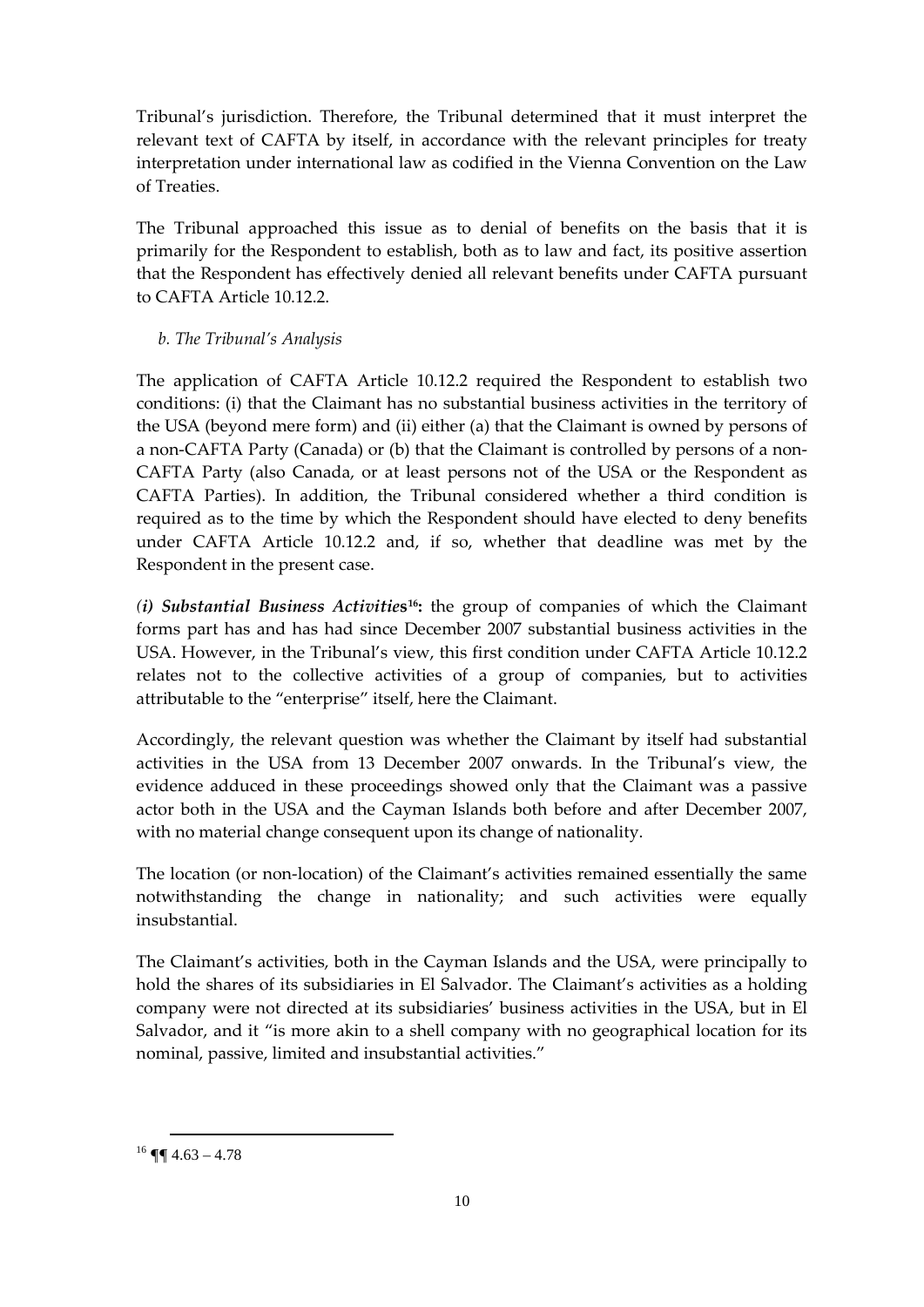Tribunal's jurisdiction. Therefore, the Tribunal determined that it must interpret the relevant text of CAFTA by itself, in accordance with the relevant principles for treaty interpretation under international law as codified in the Vienna Convention on the Law of Treaties.

The Tribunal approached this issue as to denial of benefits on the basis that it is primarily for the Respondent to establish, both as to law and fact, its positive assertion that the Respondent has effectively denied all relevant benefits under CAFTA pursuant to CAFTA Article 10.12.2.

#### *b. The Tribunal's Analysis*

The application of CAFTA Article 10.12.2 required the Respondent to establish two conditions: (i) that the Claimant has no substantial business activities in the territory of the USA (beyond mere form) and (ii) either (a) that the Claimant is owned by persons of a non-CAFTA Party (Canada) or (b) that the Claimant is controlled by persons of a non-CAFTA Party (also Canada, or at least persons not of the USA or the Respondent as CAFTA Parties). In addition, the Tribunal considered whether a third condition is required as to the time by which the Respondent should have elected to deny benefits under CAFTA Article 10.12.2 and, if so, whether that deadline was met by the Respondent in the present case.

*(i) Substantial Business Activitie***s[16:](#page-9-0)** the group of companies of which the Claimant forms part has and has had since December 2007 substantial business activities in the USA. However, in the Tribunal's view, this first condition under CAFTA Article 10.12.2 relates not to the collective activities of a group of companies, but to activities attributable to the "enterprise" itself, here the Claimant.

Accordingly, the relevant question was whether the Claimant by itself had substantial activities in the USA from 13 December 2007 onwards. In the Tribunal's view, the evidence adduced in these proceedings showed only that the Claimant was a passive actor both in the USA and the Cayman Islands both before and after December 2007, with no material change consequent upon its change of nationality.

The location (or non-location) of the Claimant's activities remained essentially the same notwithstanding the change in nationality; and such activities were equally insubstantial.

The Claimant's activities, both in the Cayman Islands and the USA, were principally to hold the shares of its subsidiaries in El Salvador. The Claimant's activities as a holding company were not directed at its subsidiaries' business activities in the USA, but in El Salvador, and it "is more akin to a shell company with no geographical location for its nominal, passive, limited and insubstantial activities."

<span id="page-9-0"></span> $16$  ¶  $4.63 - 4.78$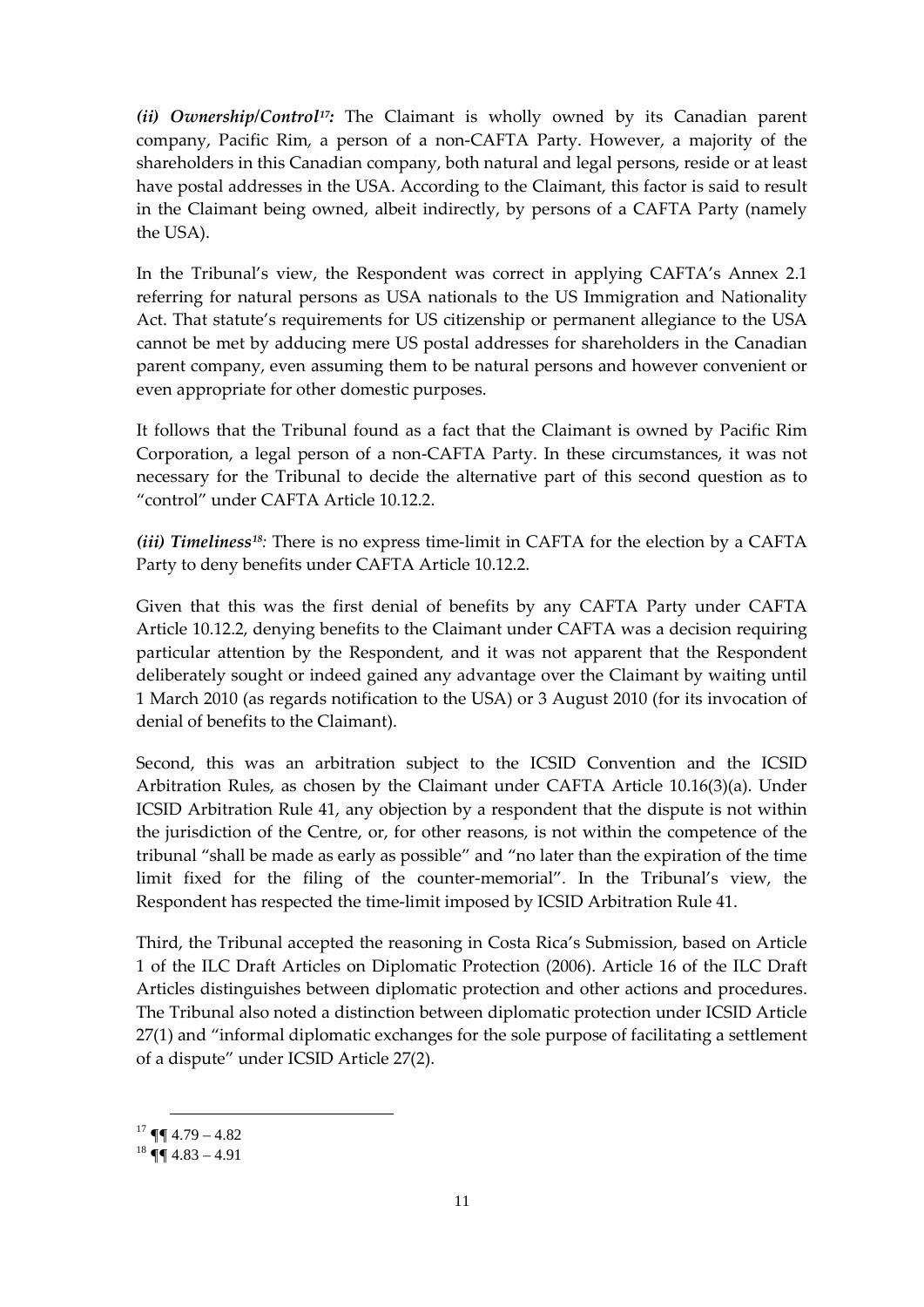*(ii) Ownership/Control[17:](#page-10-0)* The Claimant is wholly owned by its Canadian parent company, Pacific Rim, a person of a non-CAFTA Party. However, a majority of the shareholders in this Canadian company, both natural and legal persons, reside or at least have postal addresses in the USA. According to the Claimant, this factor is said to result in the Claimant being owned, albeit indirectly, by persons of a CAFTA Party (namely the USA).

In the Tribunal's view, the Respondent was correct in applying CAFTA's Annex 2.1 referring for natural persons as USA nationals to the US Immigration and Nationality Act. That statute's requirements for US citizenship or permanent allegiance to the USA cannot be met by adducing mere US postal addresses for shareholders in the Canadian parent company, even assuming them to be natural persons and however convenient or even appropriate for other domestic purposes.

It follows that the Tribunal found as a fact that the Claimant is owned by Pacific Rim Corporation, a legal person of a non-CAFTA Party. In these circumstances, it was not necessary for the Tribunal to decide the alternative part of this second question as to "control" under CAFTA Article 10.12.2.

*(iii) Timeliness[18](#page-10-1):* There is no express time-limit in CAFTA for the election by a CAFTA Party to deny benefits under CAFTA Article 10.12.2.

Given that this was the first denial of benefits by any CAFTA Party under CAFTA Article 10.12.2, denying benefits to the Claimant under CAFTA was a decision requiring particular attention by the Respondent, and it was not apparent that the Respondent deliberately sought or indeed gained any advantage over the Claimant by waiting until 1 March 2010 (as regards notification to the USA) or 3 August 2010 (for its invocation of denial of benefits to the Claimant).

Second, this was an arbitration subject to the ICSID Convention and the ICSID Arbitration Rules, as chosen by the Claimant under CAFTA Article 10.16(3)(a). Under ICSID Arbitration Rule 41, any objection by a respondent that the dispute is not within the jurisdiction of the Centre, or, for other reasons, is not within the competence of the tribunal "shall be made as early as possible" and "no later than the expiration of the time limit fixed for the filing of the counter-memorial". In the Tribunal's view, the Respondent has respected the time-limit imposed by ICSID Arbitration Rule 41.

Third, the Tribunal accepted the reasoning in Costa Rica's Submission, based on Article 1 of the ILC Draft Articles on Diplomatic Protection (2006). Article 16 of the ILC Draft Articles distinguishes between diplomatic protection and other actions and procedures. The Tribunal also noted a distinction between diplomatic protection under ICSID Article 27(1) and "informal diplomatic exchanges for the sole purpose of facilitating a settlement of a dispute" under ICSID Article 27(2).

<span id="page-10-0"></span> $17 \text{ }\P\P$  4.79 – 4.82

<span id="page-10-1"></span> $18 \text{ }\P\P$  4.83 – 4.91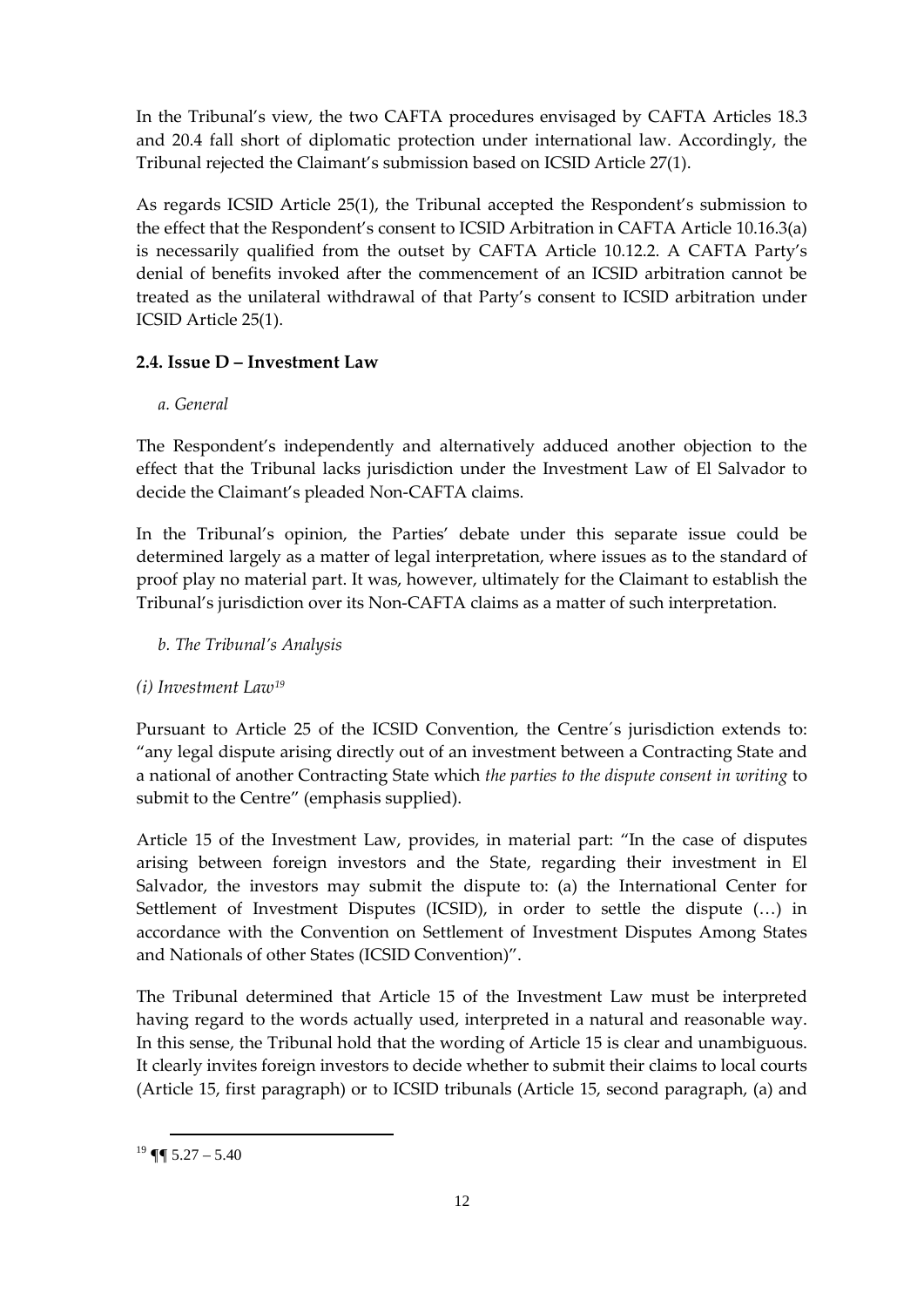In the Tribunal's view, the two CAFTA procedures envisaged by CAFTA Articles 18.3 and 20.4 fall short of diplomatic protection under international law. Accordingly, the Tribunal rejected the Claimant's submission based on ICSID Article 27(1).

As regards ICSID Article 25(1), the Tribunal accepted the Respondent's submission to the effect that the Respondent's consent to ICSID Arbitration in CAFTA Article 10.16.3(a) is necessarily qualified from the outset by CAFTA Article 10.12.2. A CAFTA Party's denial of benefits invoked after the commencement of an ICSID arbitration cannot be treated as the unilateral withdrawal of that Party's consent to ICSID arbitration under ICSID Article 25(1).

## **2.4. Issue D – Investment Law**

## *a. General*

The Respondent's independently and alternatively adduced another objection to the effect that the Tribunal lacks jurisdiction under the Investment Law of El Salvador to decide the Claimant's pleaded Non-CAFTA claims.

In the Tribunal's opinion, the Parties' debate under this separate issue could be determined largely as a matter of legal interpretation, where issues as to the standard of proof play no material part. It was, however, ultimately for the Claimant to establish the Tribunal's jurisdiction over its Non-CAFTA claims as a matter of such interpretation.

## *b. The Tribunal's Analysis*

## *(i) Investment Law[19](#page-11-0)*

Pursuant to Article 25 of the ICSID Convention, the Centre´s jurisdiction extends to: "any legal dispute arising directly out of an investment between a Contracting State and a national of another Contracting State which *the parties to the dispute consent in writing* to submit to the Centre" (emphasis supplied).

Article 15 of the Investment Law, provides, in material part: "In the case of disputes arising between foreign investors and the State, regarding their investment in El Salvador, the investors may submit the dispute to: (a) the International Center for Settlement of Investment Disputes (ICSID), in order to settle the dispute (…) in accordance with the Convention on Settlement of Investment Disputes Among States and Nationals of other States (ICSID Convention)".

The Tribunal determined that Article 15 of the Investment Law must be interpreted having regard to the words actually used, interpreted in a natural and reasonable way. In this sense, the Tribunal hold that the wording of Article 15 is clear and unambiguous. It clearly invites foreign investors to decide whether to submit their claims to local courts (Article 15, first paragraph) or to ICSID tribunals (Article 15, second paragraph, (a) and

<span id="page-11-0"></span> $19$  ¶  $5.27 - 5.40$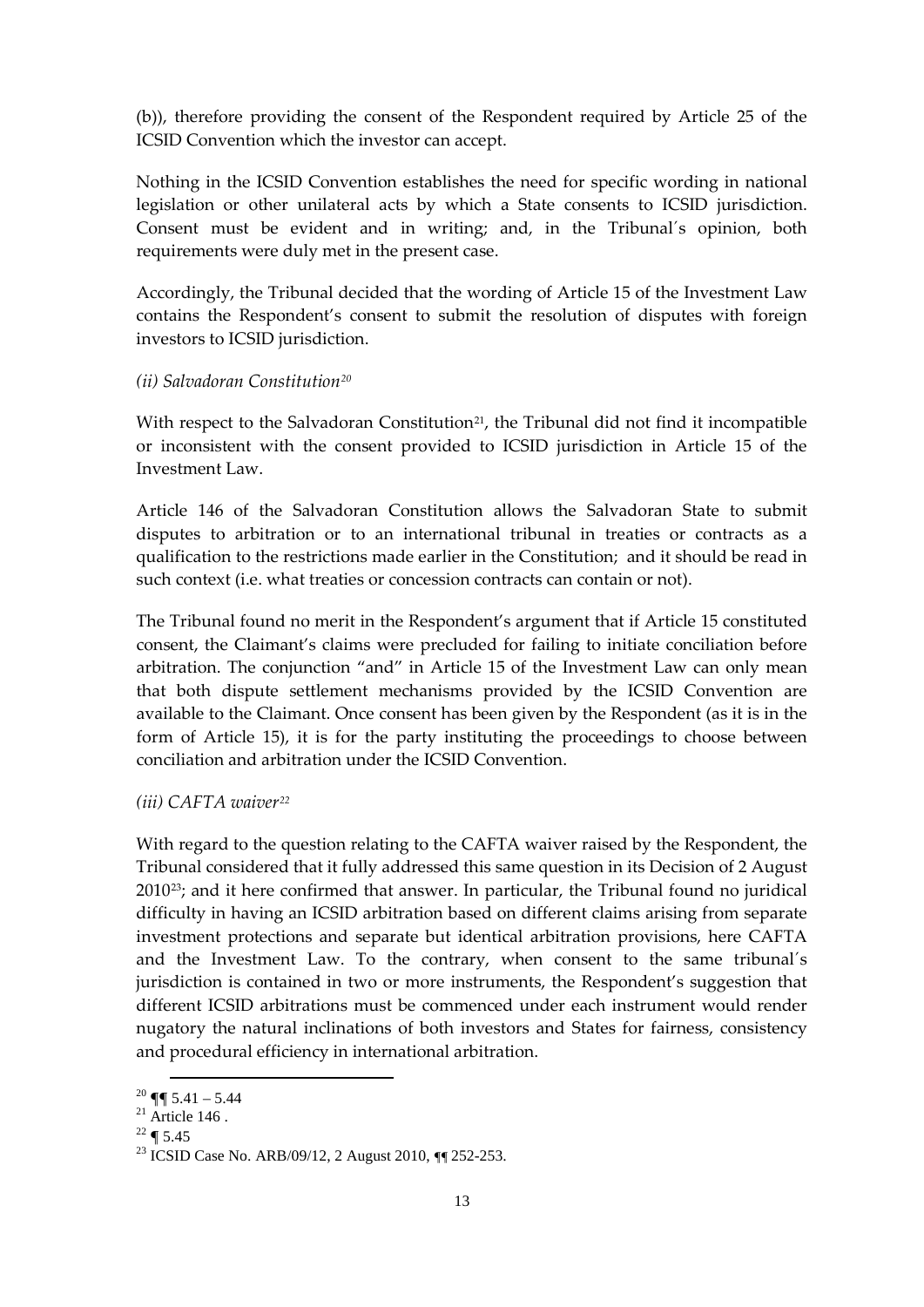(b)), therefore providing the consent of the Respondent required by Article 25 of the ICSID Convention which the investor can accept.

Nothing in the ICSID Convention establishes the need for specific wording in national legislation or other unilateral acts by which a State consents to ICSID jurisdiction. Consent must be evident and in writing; and, in the Tribunal´s opinion, both requirements were duly met in the present case.

Accordingly, the Tribunal decided that the wording of Article 15 of the Investment Law contains the Respondent's consent to submit the resolution of disputes with foreign investors to ICSID jurisdiction.

#### *(ii) Salvadoran Constitution[20](#page-12-0)*

With respect to the Salvadoran Constitution<sup>[21](#page-12-1)</sup>, the Tribunal did not find it incompatible or inconsistent with the consent provided to ICSID jurisdiction in Article 15 of the Investment Law.

Article 146 of the Salvadoran Constitution allows the Salvadoran State to submit disputes to arbitration or to an international tribunal in treaties or contracts as a qualification to the restrictions made earlier in the Constitution; and it should be read in such context (i.e. what treaties or concession contracts can contain or not).

The Tribunal found no merit in the Respondent's argument that if Article 15 constituted consent, the Claimant's claims were precluded for failing to initiate conciliation before arbitration. The conjunction "and" in Article 15 of the Investment Law can only mean that both dispute settlement mechanisms provided by the ICSID Convention are available to the Claimant. Once consent has been given by the Respondent (as it is in the form of Article 15), it is for the party instituting the proceedings to choose between conciliation and arbitration under the ICSID Convention.

#### *(iii) CAFTA waiver[22](#page-12-2)*

With regard to the question relating to the CAFTA waiver raised by the Respondent, the Tribunal considered that it fully addressed this same question in its Decision of 2 August 2010[23;](#page-12-3) and it here confirmed that answer. In particular, the Tribunal found no juridical difficulty in having an ICSID arbitration based on different claims arising from separate investment protections and separate but identical arbitration provisions, here CAFTA and the Investment Law. To the contrary, when consent to the same tribunal´s jurisdiction is contained in two or more instruments, the Respondent's suggestion that different ICSID arbitrations must be commenced under each instrument would render nugatory the natural inclinations of both investors and States for fairness, consistency and procedural efficiency in international arbitration.

<span id="page-12-0"></span> $20 \blacktriangleleft 5.41 - 5.44$ 

<span id="page-12-1"></span> $21$  Article 146.

<span id="page-12-2"></span> $22 \bullet 5.45$ 

<span id="page-12-3"></span><sup>23</sup> ICSID Case No. ARB/09/12, 2 August 2010, ¶¶ 252-253.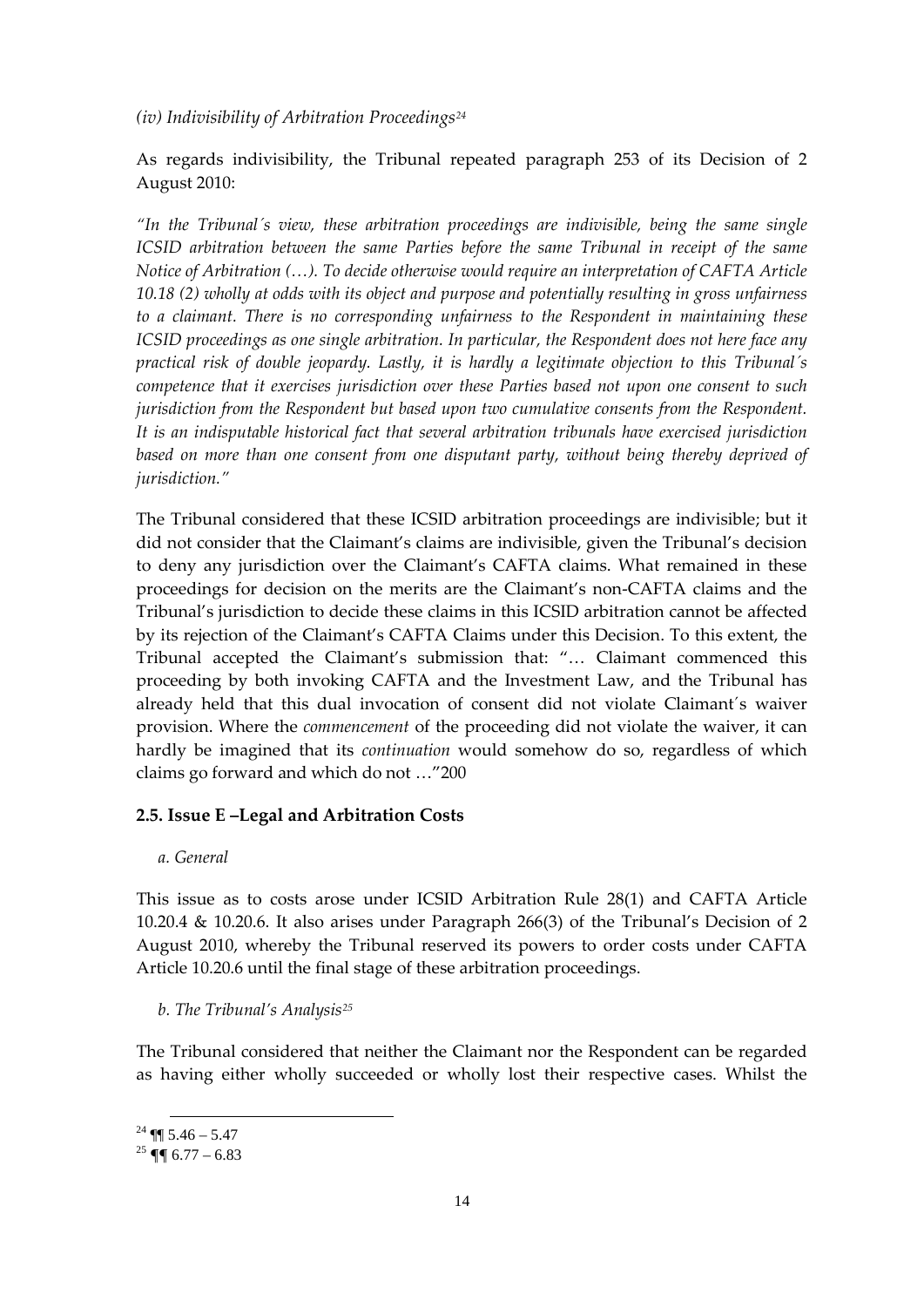*(iv) Indivisibility of Arbitration Proceedings[24](#page-13-0)*

As regards indivisibility, the Tribunal repeated paragraph 253 of its Decision of 2 August 2010:

*"In the Tribunal´s view, these arbitration proceedings are indivisible, being the same single ICSID arbitration between the same Parties before the same Tribunal in receipt of the same Notice of Arbitration (…). To decide otherwise would require an interpretation of CAFTA Article 10.18 (2) wholly at odds with its object and purpose and potentially resulting in gross unfairness to a claimant. There is no corresponding unfairness to the Respondent in maintaining these ICSID proceedings as one single arbitration. In particular, the Respondent does not here face any practical risk of double jeopardy. Lastly, it is hardly a legitimate objection to this Tribunal´s competence that it exercises jurisdiction over these Parties based not upon one consent to such jurisdiction from the Respondent but based upon two cumulative consents from the Respondent. It is an indisputable historical fact that several arbitration tribunals have exercised jurisdiction based on more than one consent from one disputant party, without being thereby deprived of jurisdiction."*

The Tribunal considered that these ICSID arbitration proceedings are indivisible; but it did not consider that the Claimant's claims are indivisible, given the Tribunal's decision to deny any jurisdiction over the Claimant's CAFTA claims. What remained in these proceedings for decision on the merits are the Claimant's non-CAFTA claims and the Tribunal's jurisdiction to decide these claims in this ICSID arbitration cannot be affected by its rejection of the Claimant's CAFTA Claims under this Decision. To this extent, the Tribunal accepted the Claimant's submission that: "… Claimant commenced this proceeding by both invoking CAFTA and the Investment Law, and the Tribunal has already held that this dual invocation of consent did not violate Claimant´s waiver provision. Where the *commencement* of the proceeding did not violate the waiver, it can hardly be imagined that its *continuation* would somehow do so, regardless of which claims go forward and which do not …"200

#### **2.5. Issue E –Legal and Arbitration Costs**

*a. General*

This issue as to costs arose under ICSID Arbitration Rule 28(1) and CAFTA Article 10.20.4 & 10.20.6. It also arises under Paragraph 266(3) of the Tribunal's Decision of 2 August 2010, whereby the Tribunal reserved its powers to order costs under CAFTA Article 10.20.6 until the final stage of these arbitration proceedings.

*b. The Tribunal's Analysis[25](#page-13-1)*

The Tribunal considered that neither the Claimant nor the Respondent can be regarded as having either wholly succeeded or wholly lost their respective cases. Whilst the

<span id="page-13-0"></span> $24$  ¶¶ 5.46 – 5.47

<span id="page-13-1"></span><sup>&</sup>lt;sup>25</sup>  $\P$  6.77 – 6.83